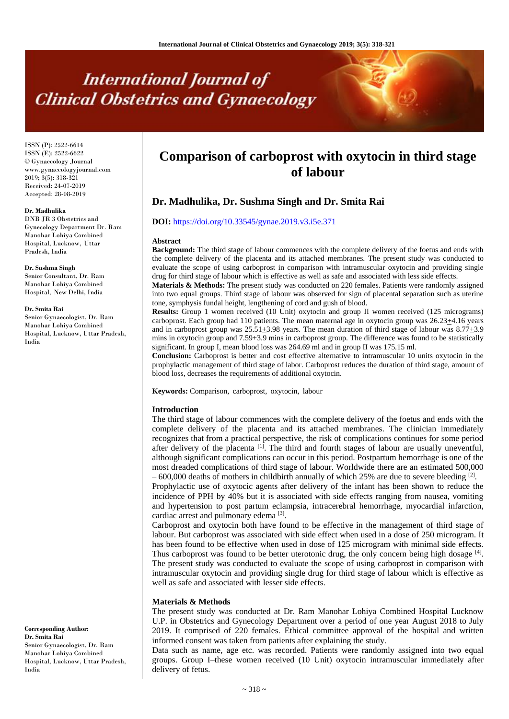# **International Journal of Clinical Obstetrics and Gynaecology**

ISSN (P): 2522-6614 ISSN (E): 2522-6622 © Gynaecology Journal www.gynaecologyjournal.com 2019; 3(5): 318-321 Received: 24-07-2019 Accepted: 28-08-2019

#### **Dr. Madhulika**

DNB JR 3 Obstetrics and Gynecology Department Dr. Ram Manohar Lohiya Combined Hospital, Lucknow, Uttar Pradesh, India

#### **Dr. Sushma Singh**

Senior Consultant, Dr. Ram Manohar Lohiya Combined Hospital, New Delhi, India

#### **Dr. Smita Rai**

Senior Gynaecologist, Dr. Ram Manohar Lohiya Combined Hospital, Lucknow, Uttar Pradesh, India

# **Corresponding Author: Dr. Smita Rai**

Senior Gynaecologist, Dr. Ram Manohar Lohiya Combined Hospital, Lucknow, Uttar Pradesh, India

# **Comparison of carboprost with oxytocin in third stage of labour**

## **Dr. Madhulika, Dr. Sushma Singh and Dr. Smita Rai**

#### **DOI:** <https://doi.org/10.33545/gynae.2019.v3.i5e.371>

#### **Abstract**

**Background:** The third stage of labour commences with the complete delivery of the foetus and ends with the complete delivery of the placenta and its attached membranes. The present study was conducted to evaluate the scope of using carboprost in comparison with intramuscular oxytocin and providing single drug for third stage of labour which is effective as well as safe and associated with less side effects.

**Materials & Methods:** The present study was conducted on 220 females. Patients were randomly assigned into two equal groups. Third stage of labour was observed for sign of placental separation such as uterine tone, symphysis fundal height, lengthening of cord and gush of blood.

**Results:** Group 1 women received (10 Unit) oxytocin and group II women received (125 micrograms) carboprost. Each group had 110 patients. The mean maternal age in oxytocin group was 26.23 $\pm$ 4.16 years and in carboprost group was  $25.51\pm3.98$  years. The mean duration of third stage of labour was  $8.77\pm3.9$ mins in oxytocin group and  $7.59+3.9$  mins in carboprost group. The difference was found to be statistically significant. In group I, mean blood loss was 264.69 ml and in group II was 175.15 ml.

**Conclusion:** Carboprost is better and cost effective alternative to intramuscular 10 units oxytocin in the prophylactic management of third stage of labor. Carboprost reduces the duration of third stage, amount of blood loss, decreases the requirements of additional oxytocin.

**Keywords:** Comparison, carboprost, oxytocin, labour

#### **Introduction**

The third stage of labour commences with the complete delivery of the foetus and ends with the complete delivery of the placenta and its attached membranes. The clinician immediately recognizes that from a practical perspective, the risk of complications continues for some period after delivery of the placenta <sup>[1]</sup>. The third and fourth stages of labour are usually uneventful, although significant complications can occur in this period. Postpartum hemorrhage is one of the most dreaded complications of third stage of labour. Worldwide there are an estimated 500,000  $-600,000$  deaths of mothers in childbirth annually of which 25% are due to severe bleeding <sup>[2]</sup>.

Prophylactic use of oxytocic agents after delivery of the infant has been shown to reduce the incidence of PPH by 40% but it is associated with side effects ranging from nausea, vomiting and hypertension to post partum eclampsia, intracerebral hemorrhage, myocardial infarction, cardiac arrest and pulmonary edema<sup>[3]</sup>.

Carboprost and oxytocin both have found to be effective in the management of third stage of labour. But carboprost was associated with side effect when used in a dose of 250 microgram. It has been found to be effective when used in dose of 125 microgram with minimal side effects. Thus carboprost was found to be better uterotonic drug, the only concern being high dosage [4]. The present study was conducted to evaluate the scope of using carboprost in comparison with intramuscular oxytocin and providing single drug for third stage of labour which is effective as well as safe and associated with lesser side effects.

#### **Materials & Methods**

The present study was conducted at Dr. Ram Manohar Lohiya Combined Hospital Lucknow U.P. in Obstetrics and Gynecology Department over a period of one year August 2018 to July 2019. It comprised of 220 females. Ethical committee approval of the hospital and written informed consent was taken from patients after explaining the study.

Data such as name, age etc. was recorded. Patients were randomly assigned into two equal groups. Group I–these women received (10 Unit) oxytocin intramuscular immediately after delivery of fetus.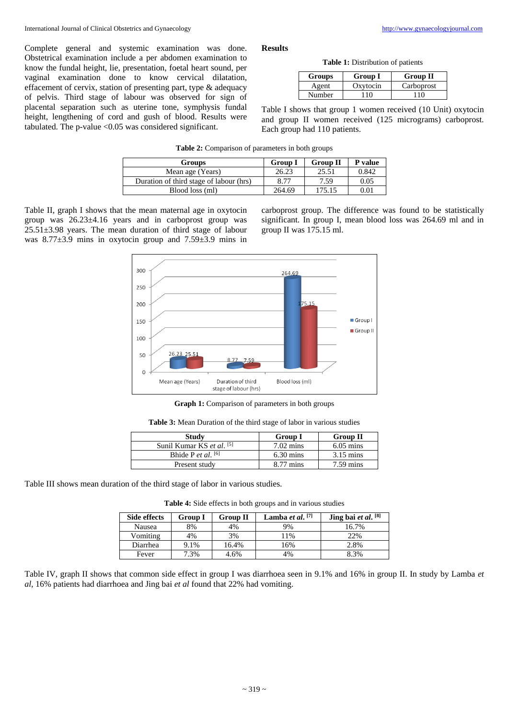Complete general and systemic examination was done. Obstetrical examination include a per abdomen examination to know the fundal height, lie, presentation, foetal heart sound, per vaginal examination done to know cervical dilatation, effacement of cervix, station of presenting part, type & adequacy of pelvis. Third stage of labour was observed for sign of placental separation such as uterine tone, symphysis fundal height, lengthening of cord and gush of blood. Results were tabulated. The p-value <0.05 was considered significant.

#### **Results**

**Table 1:** Distribution of patients

| Groups | <b>Group I</b> | <b>Group II</b> |
|--------|----------------|-----------------|
| Agent  | Oxytocin       | Carboprost      |
| Number | 10             | 10              |

Table I shows that group 1 women received (10 Unit) oxytocin and group II women received (125 micrograms) carboprost. Each group had 110 patients.

**Table 2:** Comparison of parameters in both groups

| Groups                                  | <b>Group I</b> | <b>Group II</b> | P value |
|-----------------------------------------|----------------|-----------------|---------|
| Mean age (Years)                        | 26.23          | 25.51           | 0.842   |
| Duration of third stage of labour (hrs) | 8.77           | 7.59            | 0.05    |
| Blood loss (ml)                         | 264.69         | 175.15          | 0.01    |

Table II, graph I shows that the mean maternal age in oxytocin group was 26.23±4.16 years and in carboprost group was  $25.51\pm3.98$  years. The mean duration of third stage of labour was 8.77±3.9 mins in oxytocin group and 7.59±3.9 mins in carboprost group. The difference was found to be statistically significant. In group I, mean blood loss was 264.69 ml and in group II was 175.15 ml.



**Graph 1:** Comparison of parameters in both groups

|  |  |  |  | <b>Table 3:</b> Mean Duration of the third stage of labor in various studies |  |  |  |  |  |  |  |
|--|--|--|--|------------------------------------------------------------------------------|--|--|--|--|--|--|--|
|--|--|--|--|------------------------------------------------------------------------------|--|--|--|--|--|--|--|

| Study                       | <b>Group I</b>      | <b>Group II</b>     |
|-----------------------------|---------------------|---------------------|
| Sunil Kumar KS et al. [5]   | $7.02 \text{ mins}$ | $6.05 \text{ mins}$ |
| Bhide P <i>et al.</i> $[6]$ | $6.30 \text{ mins}$ | $3.15 \text{ mins}$ |
| Present study               | $8.77 \text{ mins}$ | $7.59 \text{ mins}$ |

Table III shows mean duration of the third stage of labor in various studies.

**Table 4:** Side effects in both groups and in various studies

| Side effects | Group I | <b>Group II</b> | Lamba et al. $[7]$ | Jing bai et al. [8] |
|--------------|---------|-----------------|--------------------|---------------------|
| Nausea       | 8%      | 4%              | 9%                 | 16.7%               |
| Vomiting     | 4%      | 3%              | 11%                | 22%                 |
| Diarrhea     | 9.1%    | 16.4%           | 16%                | 2.8%                |
| Fever        | .3%     | 4.6%            | 4%                 | 8.3%                |

Table IV, graph II shows that common side effect in group I was diarrhoea seen in 9.1% and 16% in group II. In study by Lamba *et al*, 16% patients had diarrhoea and Jing bai *et al* found that 22% had vomiting.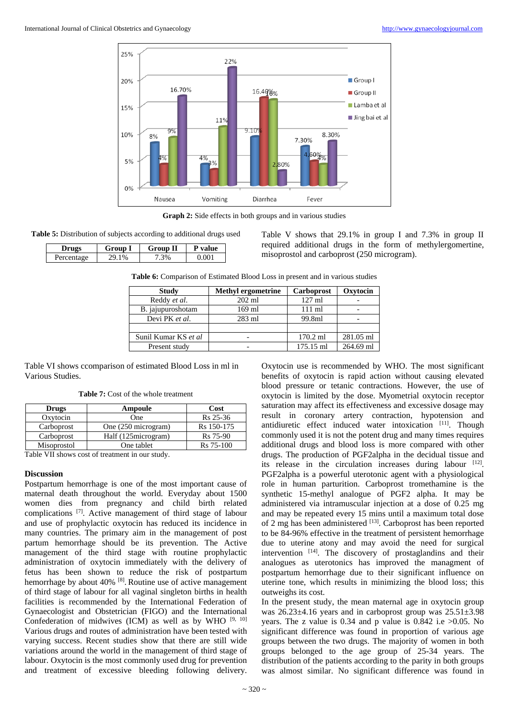

**Graph 2:** Side effects in both groups and in various studies

**Table 5:** Distribution of subjects according to additional drugs used

| m<br>Gro | Group<br>п | lue |
|----------|------------|-----|
| $\%$     | 3%         |     |

Table V shows that 29.1% in group I and 7.3% in group II required additional drugs in the form of methylergomertine, misoprostol and carboprost (250 microgram).

**Table 6:** Comparison of Estimated Blood Loss in present and in various studies

| <b>Study</b>         | <b>Methyl ergometrine</b> | Carboprost       | Oxytocin  |
|----------------------|---------------------------|------------------|-----------|
| Reddy et al.         | $202$ ml                  | $127 \text{ ml}$ |           |
| B. jajupuroshotam    | 169 ml                    | $111 \text{ ml}$ |           |
| Devi PK et al.       | $283$ ml                  | 99.8ml           |           |
|                      |                           |                  |           |
| Sunil Kumar KS et al | -                         | $170.2$ ml       | 281.05 ml |
| Present study        | -                         | 175.15 ml        | 264.69 ml |

Table VI shows ccomparison of estimated Blood Loss in ml in Various Studies.

**Table 7:** Cost of the whole treatment

| Drugs                                          | Ampoule              | Cost                 |  |  |  |
|------------------------------------------------|----------------------|----------------------|--|--|--|
| Oxytocin                                       | One                  | R <sub>s</sub> 25-36 |  |  |  |
| Carboprost                                     | One (250 microgram)  | Rs 150-175           |  |  |  |
| Carboprost                                     | Half (125 microgram) | R <sub>s</sub> 75-90 |  |  |  |
| Misoprostol                                    | One tablet           | Rs 75-100            |  |  |  |
| Teblo VII shows gost of treatment in our study |                      |                      |  |  |  |

Table VII shows cost of treatment in our study.

### **Discussion**

Postpartum hemorrhage is one of the most important cause of maternal death throughout the world. Everyday about 1500 women dies from pregnancy and child birth related complications [7] . Active management of third stage of labour and use of prophylactic oxytocin has reduced its incidence in many countries. The primary aim in the management of post partum hemorrhage should be its prevention. The Active management of the third stage with routine prophylactic administration of oxytocin immediately with the delivery of fetus has been shown to reduce the risk of postpartum hemorrhage by about 40% <sup>[8]</sup>. Routine use of active management of third stage of labour for all vaginal singleton births in health facilities is recommended by the International Federation of Gynaecologist and Obstetrician (FIGO) and the International Confederation of midwives (ICM) as well as by WHO  $[9, 10]$ Various drugs and routes of administration have been tested with varying success. Recent studies show that there are still wide variations around the world in the management of third stage of labour. Oxytocin is the most commonly used drug for prevention and treatment of excessive bleeding following delivery.

Oxytocin use is recommended by WHO. The most significant benefits of oxytocin is rapid action without causing elevated blood pressure or tetanic contractions. However, the use of oxytocin is limited by the dose. Myometrial oxytocin receptor saturation may affect its effectiveness and excessive dosage may result in coronary artery contraction, hypotension and antidiuretic effect induced water intoxication [11]. Though commonly used it is not the potent drug and many times requires additional drugs and blood loss is more compared with other drugs. The production of PGF2alpha in the decidual tissue and its release in the circulation increases during labour [12]. PGF2alpha is a powerful uterotonic agent with a physiological role in human parturition. Carboprost tromethamine is the synthetic 15-methyl analogue of PGF2 alpha. It may be administered via intramuscular injection at a dose of 0.25 mg and may be repeated every 15 mins until a maximum total dose of 2 mg has been administered [13]. Carboprost has been reported to be 84-96% effective in the treatment of persistent hemorrhage due to uterine atony and may avoid the need for surgical intervention [14]. The discovery of prostaglandins and their analogues as uterotonics has improved the managment of postpartum hemorrhage due to their significant influence on uterine tone, which results in minimizing the blood loss; this outweighs its cost.

In the present study, the mean maternal age in oxytocin group was 26.23±4.16 years and in carboprost group was 25.51±3.98 years. The z value is  $0.34$  and p value is  $0.842$  i.e  $>0.05$ . No significant difference was found in proportion of various age groups between the two drugs. The majority of women in both groups belonged to the age group of 25-34 years. The distribution of the patients according to the parity in both groups was almost similar. No significant difference was found in